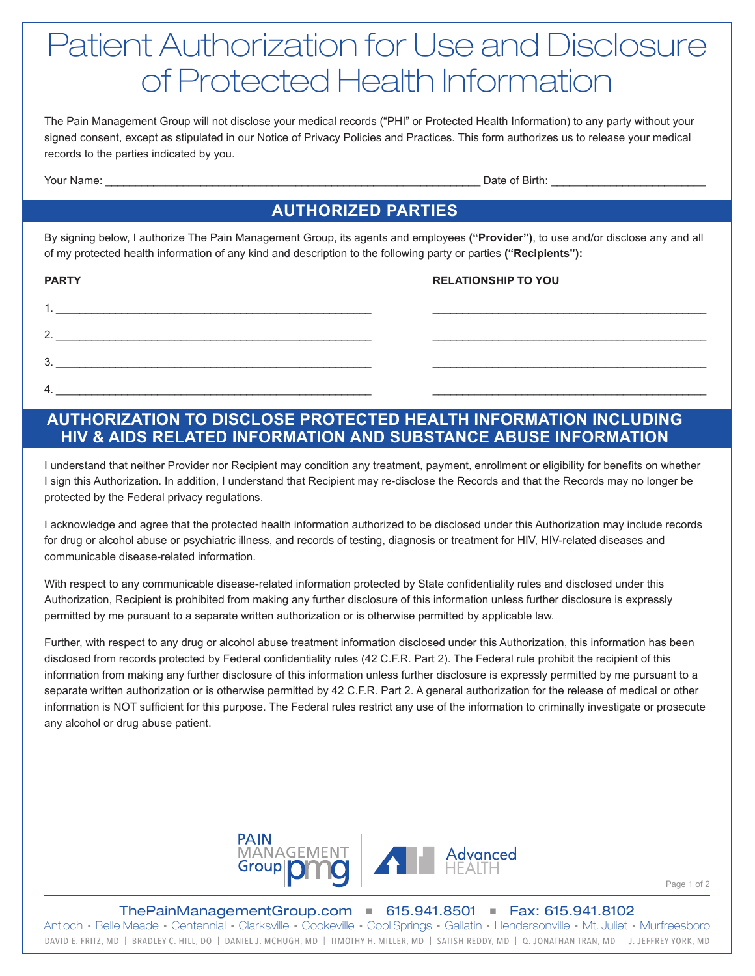# Patient Authorization for Use and Disclosure of Protected Health Information

The Pain Management Group will not disclose your medical records ("PHI" or Protected Health Information) to any party without your signed consent, except as stipulated in our Notice of Privacy Policies and Practices. This form authorizes us to release your medical records to the parties indicated by you.

Your Name: \_\_\_\_\_\_\_\_\_\_\_\_\_\_\_\_\_\_\_\_\_\_\_\_\_\_\_\_\_\_\_\_\_\_\_\_\_\_\_\_\_\_\_\_\_\_\_\_\_\_\_\_\_\_\_\_\_\_\_\_\_\_\_ Date of Birth: \_\_\_\_\_\_\_\_\_\_\_\_\_\_\_\_\_\_\_\_\_\_\_\_\_\_

## **AUTHORIZED PARTIES**

By signing below, I authorize The Pain Management Group, its agents and employees **("Provider")**, to use and/or disclose any and all of my protected health information of any kind and description to the following party or parties **("Recipients"):**

| <b>PARTY</b> | <b>RELATIONSHIP TO YOU</b> |
|--------------|----------------------------|
|              |                            |
| 2.           |                            |
| 3.           |                            |
| 4.           |                            |

#### **AUTHORIZATION TO DISCLOSE PROTECTED HEALTH INFORMATION INCLUDING HIV & AIDS RELATED INFORMATION AND SUBSTANCE ABUSE INFORMATION**

I understand that neither Provider nor Recipient may condition any treatment, payment, enrollment or eligibility for benefits on whether I sign this Authorization. In addition, I understand that Recipient may re-disclose the Records and that the Records may no longer be protected by the Federal privacy regulations.

I acknowledge and agree that the protected health information authorized to be disclosed under this Authorization may include records for drug or alcohol abuse or psychiatric illness, and records of testing, diagnosis or treatment for HIV, HIV-related diseases and communicable disease-related information.

With respect to any communicable disease-related information protected by State confidentiality rules and disclosed under this Authorization, Recipient is prohibited from making any further disclosure of this information unless further disclosure is expressly permitted by me pursuant to a separate written authorization or is otherwise permitted by applicable law.

Further, with respect to any drug or alcohol abuse treatment information disclosed under this Authorization, this information has been disclosed from records protected by Federal confidentiality rules (42 C.F.R. Part 2). The Federal rule prohibit the recipient of this information from making any further disclosure of this information unless further disclosure is expressly permitted by me pursuant to a separate written authorization or is otherwise permitted by 42 C.F.R. Part 2. A general authorization for the release of medical or other information is NOT sufficient for this purpose. The Federal rules restrict any use of the information to criminally investigate or prosecute any alcohol or drug abuse patient.



Page 1 of 2

ThePainManagementGroup.com ■ 615.941.8501 ■ Fax: 615.941.8102 DAVID E. FRITZ, MD | BRADLEY C. HILL, DO | DANIEL J. MCHUGH, MD | TIMOTHY H. MILLER, MD | SATISH REDDY, MD | Q. JONATHAN TRAN, MD | J. JEFFREY YORK, MD Antioch · Belle Meade · Centennial · Clarksville · Cookeville · Cool Springs · Gallatin · Hendersonville · Mt. Juliet · Murfreesboro